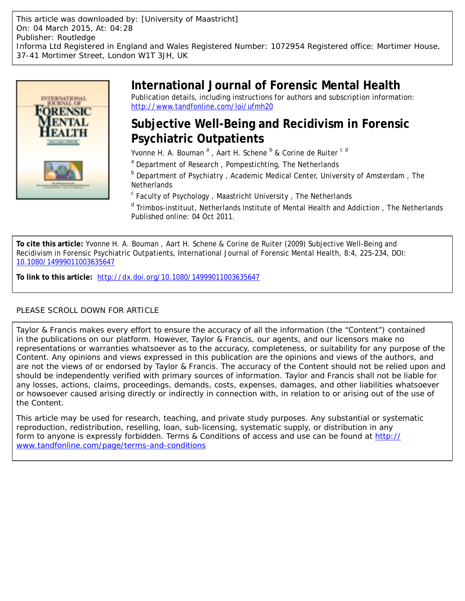This article was downloaded by: [University of Maastricht] On: 04 March 2015, At: 04:28 Publisher: Routledge Informa Ltd Registered in England and Wales Registered Number: 1072954 Registered office: Mortimer House, 37-41 Mortimer Street, London W1T 3JH, UK



# **International Journal of Forensic Mental Health**

Publication details, including instructions for authors and subscription information: <http://www.tandfonline.com/loi/ufmh20>

# **Subjective Well-Being and Recidivism in Forensic Psychiatric Outpatients**

Yvonne H. A. Bouman <sup>a</sup>, Aart H. Schene <sup>b</sup> & Corine de Ruiter <sup>c d</sup>

<sup>a</sup> Department of Research, Pompestichting, The Netherlands

<sup>b</sup> Department of Psychiatry, Academic Medical Center, University of Amsterdam, The **Netherlands** 

<sup>c</sup> Faculty of Psychology, Maastricht University, The Netherlands

<sup>d</sup> Trimbos-instituut, Netherlands Institute of Mental Health and Addiction, The Netherlands Published online: 04 Oct 2011.

**To cite this article:** Yvonne H. A. Bouman , Aart H. Schene & Corine de Ruiter (2009) Subjective Well-Being and Recidivism in Forensic Psychiatric Outpatients, International Journal of Forensic Mental Health, 8:4, 225-234, DOI: [10.1080/14999011003635647](http://www.tandfonline.com/action/showCitFormats?doi=10.1080/14999011003635647)

**To link to this article:** <http://dx.doi.org/10.1080/14999011003635647>

## PLEASE SCROLL DOWN FOR ARTICLE

Taylor & Francis makes every effort to ensure the accuracy of all the information (the "Content") contained in the publications on our platform. However, Taylor & Francis, our agents, and our licensors make no representations or warranties whatsoever as to the accuracy, completeness, or suitability for any purpose of the Content. Any opinions and views expressed in this publication are the opinions and views of the authors, and are not the views of or endorsed by Taylor & Francis. The accuracy of the Content should not be relied upon and should be independently verified with primary sources of information. Taylor and Francis shall not be liable for any losses, actions, claims, proceedings, demands, costs, expenses, damages, and other liabilities whatsoever or howsoever caused arising directly or indirectly in connection with, in relation to or arising out of the use of the Content.

This article may be used for research, teaching, and private study purposes. Any substantial or systematic reproduction, redistribution, reselling, loan, sub-licensing, systematic supply, or distribution in any form to anyone is expressly forbidden. Terms & Conditions of access and use can be found at [http://](http://www.tandfonline.com/page/terms-and-conditions) [www.tandfonline.com/page/terms-and-conditions](http://www.tandfonline.com/page/terms-and-conditions)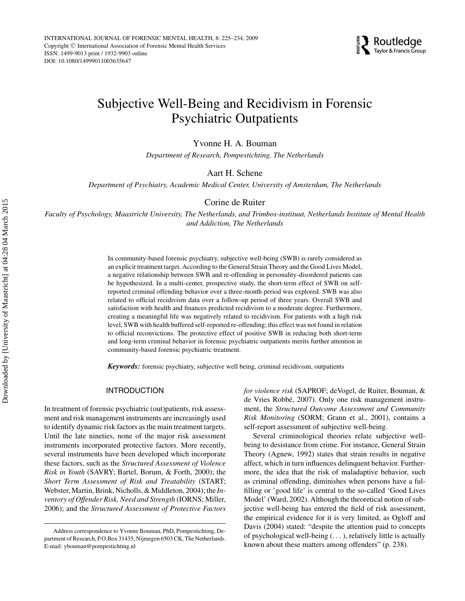

## Subjective Well-Being and Recidivism in Forensic Psychiatric Outpatients

Yvonne H. A. Bouman

*Department of Research, Pompestichting, The Netherlands*

## Aart H. Schene

*Department of Psychiatry, Academic Medical Center, University of Amsterdam, The Netherlands*

Corine de Ruiter

*Faculty of Psychology, Maastricht University, The Netherlands, and Trimbos-instituut, Netherlands Institute of Mental Health and Addiction, The Netherlands*

> In community-based forensic psychiatry, subjective well-being (SWB) is rarely considered as an explicit treatment target. According to the General Strain Theory and the Good Lives Model, a negative relationship between SWB and re-offending in personality-disordered patients can be hypothesized. In a multi-center, prospective study, the short-term effect of SWB on selfreported criminal offending behavior over a three-month period was explored. SWB was also related to official recidivism data over a follow-up period of three years. Overall SWB and satisfaction with health and finances predicted recidivism to a moderate degree. Furthermore, creating a meaningful life was negatively related to recidivism. For patients with a high risk level, SWB with health buffered self-reported re-offending; this effect was not found in relation to official reconvictions. The protective effect of positive SWB in reducing both short-term and long-term criminal behavior in forensic psychiatric outpatients merits further attention in community-based forensic psychiatric treatment.

*Keywords:* forensic psychiatry, subjective well being, criminal recidivism, outpatients

#### INTRODUCTION

In treatment of forensic psychiatric (out)patients, risk assessment and risk management instruments are increasingly used to identify dynamic risk factors as the main treatment targets. Until the late nineties, none of the major risk assessment instruments incorporated protective factors. More recently, several instruments have been developed which incorporate these factors, such as the *Structured Assessment of Violence Risk in Youth* (SAVRY; Bartel, Borum, & Forth, 2000); the *Short Term Assessment of Risk and Treatability* (START; Webster, Martin, Brink, Nicholls, & Middleton, 2004); the *Inventory of Offender Risk, Need and Strength* (IORNS; Miller, 2006); and the *Structured Assessment of Protective Factors* *for violence risk* (SAPROF; deVogel, de Ruiter, Bouman, & de Vries Robbé, 2007). Only one risk management instrument, the *Structured Outcome Assessment and Community Risk Monitoring* (SORM; Grann et al., 2001), contains a self-report assessment of subjective well-being.

Several criminological theories relate subjective wellbeing to desistance from crime. For instance, General Strain Theory (Agnew, 1992) states that strain results in negative affect, which in turn influences delinquent behavior. Furthermore, the idea that the risk of maladaptive behavior, such as criminal offending, diminishes when persons have a fulfilling or 'good life' is central to the so-called 'Good Lives Model' (Ward, 2002). Although the theoretical notion of subjective well-being has entered the field of risk assessment, the empirical evidence for it is very limited, as Ogloff and Davis (2004) stated: "despite the attention paid to concepts of psychological well-being (. . . ), relatively little is actually known about these matters among offenders" (p. 238).

Address correspondence to Yvonne Bouman, PhD, Pompestichting, Department of Research, P.O.Box 31435, Nijmegen 6503 CK, The Netherlands. E-mail: ybouman@pompestichting.nl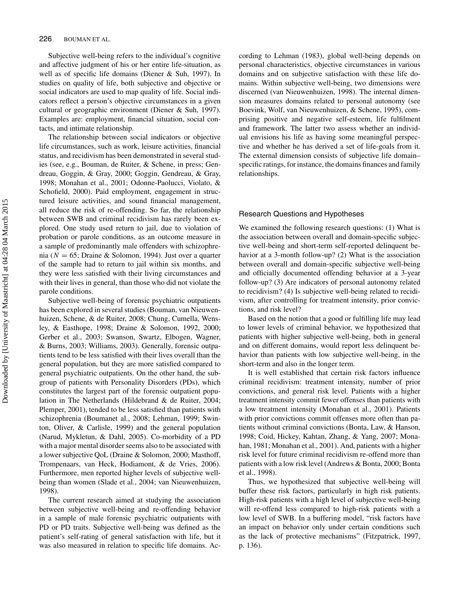Subjective well-being refers to the individual's cognitive and affective judgment of his or her entire life-situation, as well as of specific life domains (Diener & Suh, 1997). In studies on quality of life, both subjective and objective or social indicators are used to map quality of life. Social indicators reflect a person's objective circumstances in a given cultural or geographic environment (Diener & Suh, 1997). Examples are: employment, financial situation, social contacts, and intimate relationship.

The relationship between social indicators or objective life circumstances, such as work, leisure activities, financial status, and recidivism has been demonstrated in several studies (see, e.g., Bouman, de Ruiter, & Schene, in press; Gendreau, Goggin, & Gray, 2000; Goggin, Gendreau, & Gray, 1998; Monahan et al., 2001; Odonne-Paolucci, Violato, & Schofield, 2000). Paid employment, engagement in structured leisure activities, and sound financial management, all reduce the risk of re-offending. So far, the relationship between SWB and criminal recidivism has rarely been explored. One study used return to jail, due to violation of probation or parole conditions, as an outcome measure in a sample of predominantly male offenders with schizophrenia ( $N = 65$ ; Draine & Solomon, 1994). Just over a quarter of the sample had to return to jail within six months, and they were less satisfied with their living circumstances and with their lives in general, than those who did not violate the parole conditions.

Subjective well-being of forensic psychiatric outpatients has been explored in several studies (Bouman, van Nieuwenhuizen, Schene, & de Ruiter, 2008; Chung, Cumella, Wensley, & Easthope, 1998; Draine & Solomon, 1992, 2000; Gerber et al., 2003; Swanson, Swartz, Elbogen, Wagner, & Burns, 2003; Williams, 2003). Generally, forensic outpatients tend to be less satisfied with their lives overall than the general population, but they are more satisfied compared to general psychiatric outpatients. On the other hand, the subgroup of patients with Personality Disorders (PDs), which constitutes the largest part of the forensic outpatient population in The Netherlands (Hildebrand & de Ruiter, 2004; Plemper, 2001), tended to be less satisfied than patients with schizophrenia (Boumanet al., 2008; Lehman, 1999; Swinton, Oliver, & Carlisle, 1999) and the general population (Narud, Mykletun, & Dahl, 2005). Co-morbidity of a PD with a major mental disorder seems also to be associated with a lower subjective QoL (Draine & Solomon, 2000; Masthoff, Trompenaars, van Heck, Hodiamont, & de Vries, 2006). Furthermore, men reported higher levels of subjective wellbeing than women (Slade et al., 2004; van Nieuwenhuizen, 1998).

The current research aimed at studying the association between subjective well-being and re-offending behavior in a sample of male forensic psychiatric outpatients with PD or PD traits. Subjective well-being was defined as the patient's self-rating of general satisfaction with life, but it was also measured in relation to specific life domains. According to Lehman (1983), global well-being depends on personal characteristics, objective circumstances in various domains and on subjective satisfaction with these life domains. Within subjective well-being, two dimensions were discerned (van Nieuwenhuizen, 1998). The internal dimension measures domains related to personal autonomy (see Boevink, Wolf, van Nieuwenhuizen, & Schene, 1995), comprising positive and negative self-esteem, life fulfilment and framework. The latter two assess whether an individual envisions his life as having some meaningful perspective and whether he has derived a set of life-goals from it. The external dimension consists of subjective life domain– specific ratings, for instance, the domains finances and family relationships.

#### Research Questions and Hypotheses

We examined the following research questions: (1) What is the association between overall and domain-specific subjective well-being and short-term self-reported delinquent behavior at a 3-month follow-up? (2) What is the association between overall and domain-specific subjective well-being and officially documented offending behavior at a 3-year follow-up? (3) Are indicators of personal autonomy related to recidivism? (4) Is subjective well-being related to recidivism, after controlling for treatment intensity, prior convictions, and risk level?

Based on the notion that a good or fulfilling life may lead to lower levels of criminal behavior, we hypothesized that patients with higher subjective well-being, both in general and on different domains, would report less delinquent behavior than patients with low subjective well-being, in the short-term and also in the longer term.

It is well established that certain risk factors influence criminal recidivism: treatment intensity, number of prior convictions, and general risk level. Patients with a higher treatment intensity commit fewer offenses than patients with a low treatment intensity (Monahan et al., 2001). Patients with prior convictions commit offenses more often than patients without criminal convictions (Bonta, Law, & Hanson, 1998; Coid, Hickey, Kahtan, Zhang, & Yang, 2007; Monahan, 1981; Monahan et al., 2001). And, patients with a higher risk level for future criminal recidivism re-offend more than patients with a low risk level (Andrews & Bonta, 2000; Bonta et al., 1998).

Thus, we hypothesized that subjective well-being will buffer these risk factors, particularly in high risk patients. High-risk patients with a high level of subjective well-being will re-offend less compared to high-risk patients with a low level of SWB. In a buffering model, "risk factors have an impact on behavior only under certain conditions such as the lack of protective mechanisms" (Fitzpatrick, 1997, p. 136).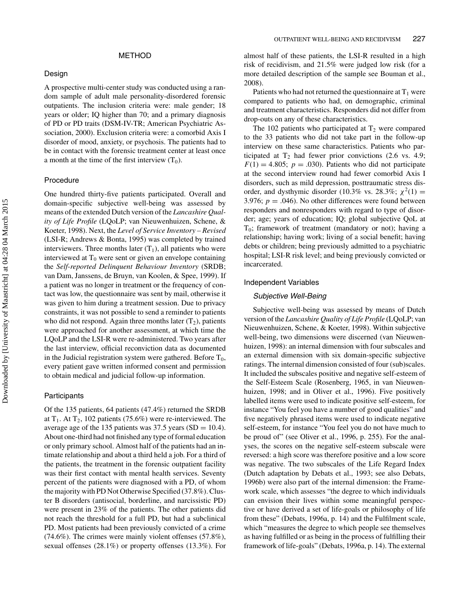#### Design

A prospective multi-center study was conducted using a random sample of adult male personality-disordered forensic outpatients. The inclusion criteria were: male gender; 18 years or older; IQ higher than 70; and a primary diagnosis of PD or PD traits (DSM-IV-TR; American Psychiatric Association, 2000). Exclusion criteria were: a comorbid Axis I disorder of mood, anxiety, or psychosis. The patients had to be in contact with the forensic treatment center at least once a month at the time of the first interview  $(T_0)$ .

## Procedure

One hundred thirty-five patients participated. Overall and domain-specific subjective well-being was assessed by means of the extended Dutch version of the *Lancashire Quality of Life Profile* (LQoLP; van Nieuwenhuizen, Schene, & Koeter, 1998). Next, the *Level of Service Inventory – Revised* (LSI-R; Andrews & Bonta, 1995) was completed by trained interviewers. Three months later  $(T_1)$ , all patients who were interviewed at  $T_0$  were sent or given an envelope containing the *Self-reported Delinquent Behaviour Inventory* (SRDB; van Dam, Janssens, de Bruyn, van Koolen, & Spee, 1999). If a patient was no longer in treatment or the frequency of contact was low, the questionnaire was sent by mail, otherwise it was given to him during a treatment session. Due to privacy constraints, it was not possible to send a reminder to patients who did not respond. Again three months later  $(T_2)$ , patients were approached for another assessment, at which time the LQoLP and the LSI-R were re-administered. Two years after the last interview, official reconviction data as documented in the Judicial registration system were gathered. Before  $T_0$ , every patient gave written informed consent and permission to obtain medical and judicial follow-up information.

#### **Participants**

Of the 135 patients, 64 patients (47.4%) returned the SRDB at  $T_1$ . At  $T_2$ , 102 patients (75.6%) were re-interviewed. The average age of the 135 patients was  $37.5$  years (SD = 10.4). About one-third had not finished any type of formal education or only primary school. Almost half of the patients had an intimate relationship and about a third held a job. For a third of the patients, the treatment in the forensic outpatient facility was their first contact with mental health services. Seventy percent of the patients were diagnosed with a PD, of whom the majority with PD Not Otherwise Specified (37.8%). Cluster B disorders (antisocial, borderline, and narcissistic PD) were present in 23% of the patients. The other patients did not reach the threshold for a full PD, but had a subclinical PD. Most patients had been previously convicted of a crime (74.6%). The crimes were mainly violent offenses (57.8%), sexual offenses (28.1%) or property offenses (13.3%). For

almost half of these patients, the LSI-R resulted in a high risk of recidivism, and 21.5% were judged low risk (for a more detailed description of the sample see Bouman et al., 2008).

Patients who had not returned the questionnaire at  $T_1$  were compared to patients who had, on demographic, criminal and treatment characteristics. Responders did not differ from drop-outs on any of these characteristics.

The 102 patients who participated at  $T_2$  were compared to the 33 patients who did not take part in the follow-up interview on these same characteristics. Patients who participated at  $T_2$  had fewer prior convictions (2.6 vs. 4.9;  $F(1) = 4.805$ ;  $p = .030$ ). Patients who did not participate at the second interview round had fewer comorbid Axis I disorders, such as mild depression, posttraumatic stress disorder, and dysthymic disorder (10.3% vs. 28.3%;  $\chi^2(1)$  = 3.976;  $p = .046$ ). No other differences were found between responders and nonresponders with regard to type of disorder; age; years of education; IQ; global subjective QoL at  $T_0$ ; framework of treatment (mandatory or not); having a relationship; having work; living of a social benefit; having debts or children; being previously admitted to a psychiatric hospital; LSI-R risk level; and being previously convicted or incarcerated.

#### Independent Variables

### Subjective Well-Being

Subjective well-being was assessed by means of Dutch version of the *Lancashire Quality of Life Profile* (LQoLP; van Nieuwenhuizen, Schene, & Koeter, 1998). Within subjective well-being, two dimensions were discerned (van Nieuwenhuizen, 1998): an internal dimension with four subscales and an external dimension with six domain-specific subjective ratings. The internal dimension consisted of four (sub)scales. It included the subscales positive and negative self-esteem of the Self-Esteem Scale (Rosenberg, 1965, in van Nieuwenhuizen, 1998; and in Oliver et al., 1996). Five positively labelled items were used to indicate positive self-esteem, for instance "You feel you have a number of good qualities" and five negatively phrased items were used to indicate negative self-esteem, for instance "You feel you do not have much to be proud of" (see Oliver et al., 1996, p. 255). For the analyses, the scores on the negative self-esteem subscale were reversed: a high score was therefore positive and a low score was negative. The two subscales of the Life Regard Index (Dutch adaptation by Debats et al., 1993; see also Debats, 1996b) were also part of the internal dimension: the Framework scale, which assesses "the degree to which individuals can envision their lives within some meaningful perspective or have derived a set of life-goals or philosophy of life from these" (Debats, 1996a, p. 14) and the Fulfilment scale, which "measures the degree to which people see themselves as having fulfilled or as being in the process of fulfilling their framework of life-goals" (Debats, 1996a, p. 14). The external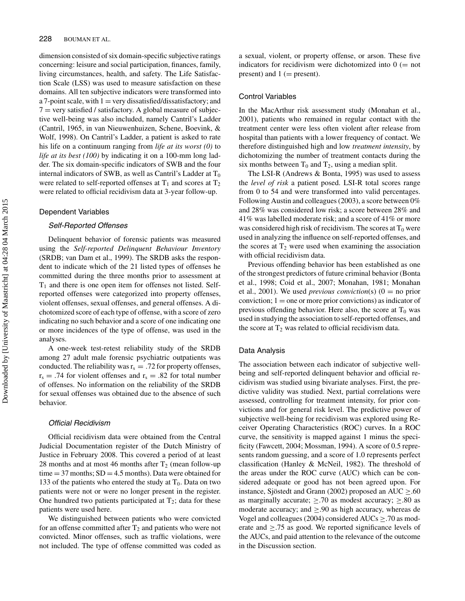dimension consisted of six domain-specific subjective ratings concerning: leisure and social participation, finances, family, living circumstances, health, and safety. The Life Satisfaction Scale (LSS) was used to measure satisfaction on these domains. All ten subjective indicators were transformed into a 7-point scale, with  $1 = \text{very dissatisfied/dissatisfactory}$ ; and  $7 =$  very satisfied / satisfactory. A global measure of subjective well-being was also included, namely Cantril's Ladder (Cantril, 1965, in van Nieuwenhuizen, Schene, Boevink, & Wolf, 1998). On Cantril's Ladder, a patient is asked to rate his life on a continuum ranging from *life at its worst (0)* to *life at its best (100)* by indicating it on a 100-mm long ladder. The six domain-specific indicators of SWB and the four internal indicators of SWB, as well as Cantril's Ladder at  $T_0$ were related to self-reported offenses at  $T_1$  and scores at  $T_2$ were related to official recidivism data at 3-year follow-up.

#### Dependent Variables

#### Self-Reported Offenses

Delinquent behavior of forensic patients was measured using the *Self-reported Delinquent Behaviour Inventory* (SRDB; van Dam et al., 1999). The SRDB asks the respondent to indicate which of the 21 listed types of offenses he committed during the three months prior to assessment at  $T_1$  and there is one open item for offenses not listed. Selfreported offenses were categorized into property offenses, violent offenses, sexual offenses, and general offenses. A dichotomized score of each type of offense, with a score of zero indicating no such behavior and a score of one indicating one or more incidences of the type of offense, was used in the analyses.

A one-week test-retest reliability study of the SRDB among 27 adult male forensic psychiatric outpatients was conducted. The reliability was  $r_s = .72$  for property offenses,  $r_s = .74$  for violent offenses and  $r_s = .82$  for total number of offenses. No information on the reliability of the SRDB for sexual offenses was obtained due to the absence of such behavior.

#### Official Recidivism

Official recidivism data were obtained from the Central Judicial Documentation register of the Dutch Ministry of Justice in February 2008. This covered a period of at least 28 months and at most 46 months after  $T_2$  (mean follow-up  $time = 37$  months;  $SD = 4.5$  months). Data were obtained for 133 of the patients who entered the study at  $T_0$ . Data on two patients were not or were no longer present in the register. One hundred two patients participated at  $T_2$ ; data for these patients were used here.

We distinguished between patients who were convicted for an offense committed after  $T_2$  and patients who were not convicted. Minor offenses, such as traffic violations, were not included. The type of offense committed was coded as a sexual, violent, or property offense, or arson. These five indicators for recidivism were dichotomized into  $0 (= not)$ present) and  $1$  (= present).

#### Control Variables

In the MacArthur risk assessment study (Monahan et al., 2001), patients who remained in regular contact with the treatment center were less often violent after release from hospital than patients with a lower frequency of contact. We therefore distinguished high and low *treatment intensity*, by dichotomizing the number of treatment contacts during the six months between  $T_0$  and  $T_2$ , using a median split.

The LSI-R (Andrews & Bonta, 1995) was used to assess the *level of risk* a patient posed. LSI-R total scores range from 0 to 54 and were transformed into valid percentages. Following Austin and colleagues (2003), a score between 0% and 28% was considered low risk; a score between 28% and 41% was labelled moderate risk; and a score of 41% or more was considered high risk of recidivism. The scores at  $T_0$  were used in analyzing the influence on self-reported offenses, and the scores at  $T_2$  were used when examining the association with official recidivism data.

Previous offending behavior has been established as one of the strongest predictors of future criminal behavior (Bonta et al., 1998; Coid et al., 2007; Monahan, 1981; Monahan et al., 2001). We used *previous conviction*(s)  $(0 = no prior)$ conviction;  $1 =$  one or more prior convictions) as indicator of previous offending behavior. Here also, the score at  $T_0$  was used in studying the association to self-reported offenses, and the score at  $T_2$  was related to official recidivism data.

#### Data Analysis

The association between each indicator of subjective wellbeing and self-reported delinquent behavior and official recidivism was studied using bivariate analyses. First, the predictive validity was studied. Next, partial correlations were assessed, controlling for treatment intensity, for prior convictions and for general risk level. The predictive power of subjective well-being for recidivism was explored using Receiver Operating Characteristics (ROC) curves. In a ROC curve, the sensitivity is mapped against 1 minus the specificity (Fawcett, 2004; Mossman, 1994). A score of 0.5 represents random guessing, and a score of 1.0 represents perfect classification (Hanley & McNeil, 1982). The threshold of the areas under the ROC curve (AUC) which can be considered adequate or good has not been agreed upon. For instance, Sjöstedt and Grann (2002) proposed an AUC  $\geq$ .60 as marginally accurate;  $\geq$ .70 as modest accuracy;  $\geq$ .80 as moderate accuracy; and  $\geq 90$  as high accuracy, whereas de Vogel and colleagues (2004) considered AUCs  $\geq$  70 as moderate and  $\geq$ .75 as good. We reported significance levels of the AUCs, and paid attention to the relevance of the outcome in the Discussion section.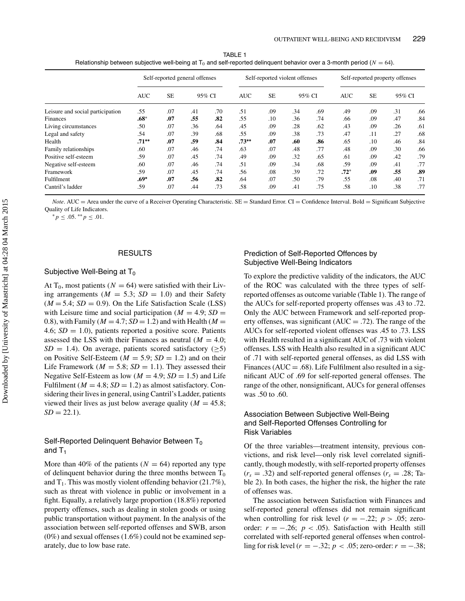TABLE 1 Relationship between subjective well-being at T<sub>0</sub> and self-reported delinquent behavior over a 3-month period ( $N = 64$ ).

|                                  | Self-reported general offenses |           |     |        | Self-reported violent offenses |           |        |     | Self-reported property offenses |           |        |     |
|----------------------------------|--------------------------------|-----------|-----|--------|--------------------------------|-----------|--------|-----|---------------------------------|-----------|--------|-----|
|                                  | <b>AUC</b>                     | <b>SE</b> |     | 95% CI | <b>AUC</b>                     | <b>SE</b> | 95% CI |     | <b>AUC</b>                      | <b>SE</b> | 95% CI |     |
| Leisure and social participation | .55                            | .07       | .41 | .70    | .51                            | .09       | .34    | .69 | .49                             | .09       | .31    | .66 |
| Finances                         | $.68*$                         | .07       | .55 | .82    | .55                            | .10       | .36    | .74 | .66                             | .09       | .47    | .84 |
| Living circumstances             | .50                            | .07       | .36 | .64    | .45                            | .09       | .28    | .62 | .43                             | .09       | .26    | .61 |
| Legal and safety                 | .54                            | .07       | .39 | .68    | .55                            | .09       | .38    | .73 | .47                             | .11       | .27    | .68 |
| Health                           | $.71***$                       | .07       | .59 | .84    | $.73***$                       | .07       | .60    | .86 | .65                             | .10       | .46    | .84 |
| Family relationships             | .60                            | .07       | .46 | .74    | .63                            | .07       | .48    | .77 | .48                             | .09       | .30    | .66 |
| Positive self-esteem             | .59                            | .07       | .45 | .74    | .49                            | .09       | .32    | .65 | .61                             | .09       | .42    | .79 |
| Negative self-esteem             | .60                            | .07       | .46 | .74    | .51                            | .09       | .34    | .68 | .59                             | .09       | .41    | .77 |
| Framework                        | .59                            | .07       | .45 | .74    | .56                            | .08       | .39    | .72 | $.72*$                          | .09       | .55    | .89 |
| Fulfilment                       | .69*                           | .07       | .56 | .82    | .64                            | .07       | .50    | .79 | .55                             | .08       | .40    | .71 |
| Cantril's ladder                 | .59                            | .07       | .44 | .73    | .58                            | .09       | .41    | .75 | .58                             | .10       | .38    | .77 |
|                                  |                                |           |     |        |                                |           |        |     |                                 |           |        |     |

*Note*. AUC = Area under the curve of a Receiver Operating Characteristic. SE = Standard Error. CI = Confidence Interval. Bold = Significant Subjective Quality of Life Indicators.

<sup>∗</sup>*p* ≤ *.*05. ∗∗*p* ≤ *.*01.

#### RESULTS

#### Subjective Well-Being at  $T_0$

At  $T_0$ , most patients ( $N = 64$ ) were satisfied with their Living arrangements ( $M = 5.3$ ;  $SD = 1.0$ ) and their Safety  $(M = 5.4; SD = 0.9)$ . On the Life Satisfaction Scale (LSS) with Leisure time and social participation ( $M = 4.9$ ;  $SD =$ 0.8), with Family ( $M = 4.7$ ;  $SD = 1.2$ ) and with Health ( $M =$ 4.6;  $SD = 1.0$ ), patients reported a positive score. Patients assessed the LSS with their Finances as neutral  $(M = 4.0;$ *SD* = 1.4). On average, patients scored satisfactory ( $\geq$ 5) on Positive Self-Esteem ( $M = 5.9$ ;  $SD = 1.2$ ) and on their Life Framework ( $M = 5.8$ ;  $SD = 1.1$ ). They assessed their Negative Self-Esteem as low ( $M = 4.9$ ;  $SD = 1.5$ ) and Life Fulfilment ( $M = 4.8$ ;  $SD = 1.2$ ) as almost satisfactory. Considering their lives in general, using Cantril's Ladder, patients viewed their lives as just below average quality ( $M = 45.8$ ;  $SD = 22.1$ .

### Self-Reported Delinquent Behavior Between T<sub>0</sub> and  $T_1$

More than 40% of the patients ( $N = 64$ ) reported any type of delinquent behavior during the three months between  $T_0$ and  $T_1$ . This was mostly violent offending behavior (21.7%), such as threat with violence in public or involvement in a fight. Equally, a relatively large proportion (18.8%) reported property offenses, such as dealing in stolen goods or using public transportation without payment. In the analysis of the association between self-reported offenses and SWB, arson  $(0\%)$  and sexual offenses  $(1.6\%)$  could not be examined separately, due to low base rate.

## Prediction of Self-Reported Offences by Subjective Well-Being Indicators

To explore the predictive validity of the indicators, the AUC of the ROC was calculated with the three types of selfreported offenses as outcome variable (Table 1). The range of the AUCs for self-reported property offenses was .43 to .72. Only the AUC between Framework and self-reported property offenses, was significant ( $AUC = .72$ ). The range of the AUCs for self-reported violent offenses was .45 to .73. LSS with Health resulted in a significant AUC of .73 with violent offenses. LSS with Health also resulted in a significant AUC of .71 with self-reported general offenses, as did LSS with Finances ( $AUC = .68$ ). Life Fulfilment also resulted in a significant AUC of .69 for self-reported general offenses. The range of the other, nonsignificant, AUCs for general offenses was .50 to .60.

#### Association Between Subjective Well-Being and Self-Reported Offenses Controlling for Risk Variables

Of the three variables—treatment intensity, previous convictions, and risk level—only risk level correlated significantly, though modestly, with self-reported property offenses  $(r<sub>s</sub> = .32)$  and self-reported general offenses  $(r<sub>s</sub> = .28; Ta$ ble 2). In both cases, the higher the risk, the higher the rate of offenses was.

The association between Satisfaction with Finances and self-reported general offenses did not remain significant when controlling for risk level  $(r = -.22; p > .05;$  zeroorder:  $r = -.26$ ;  $p < .05$ ). Satisfaction with Health still correlated with self-reported general offenses when controlling for risk level ( $r = -.32$ ;  $p < .05$ ; zero-order:  $r = -.38$ ;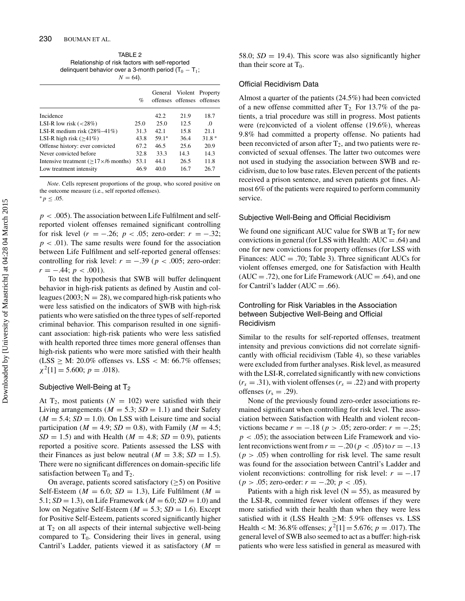TABLE 2 Relationship of risk factors with self-reported delinquent behavior over a 3-month period ( $T_0 - T_1$ ;  $N = 64$ ).

|                                              | %    | General | offenses offenses offenses | Violent Property |
|----------------------------------------------|------|---------|----------------------------|------------------|
| Incidence                                    |      | 42.2    | 21.9                       | 18.7             |
| LSI-R low risk $(<28\%)$                     | 25.0 | 25.0    | 12.5                       | $\Omega$         |
| LSI-R medium risk $(28\% - 41\%)$            | 31.3 | 42.1    | 15.8                       | 21.1             |
| LSI-R high risk $(>41\%)$                    | 43.8 | $59.1*$ | 36.4                       | $31.8*$          |
| Offense history: ever convicted              | 67.2 | 46.5    | 25.6                       | 20.9             |
| Never convicted before                       | 32.8 | 33.3    | 14.3                       | 14.3             |
| Intensive treatment $(>17 \times 7)$ months) | 53.1 | 44.1    | 26.5                       | 11.8             |
| Low treatment intensity                      | 46.9 | 40.0    | 16.7                       | 26.7             |

*Note*. Cells represent proportions of the group, who scored positive on the outcome measure (i.e., self reported offenses). <sup>∗</sup>*p* ≤ *.*05.

 $p < .005$ ). The association between Life Fulfilment and selfreported violent offenses remained significant controlling for risk level  $(r = -.26; p < .05;$  zero-order:  $r = -.32;$  $p < .01$ ). The same results were found for the association between Life Fulfilment and self-reported general offenses: controlling for risk level:  $r = -.39$  ( $p < .005$ ; zero-order:  $r = -.44$ ;  $p < .001$ ).

To test the hypothesis that SWB will buffer delinquent behavior in high-risk patients as defined by Austin and colleagues (2003;  $N = 28$ ), we compared high-risk patients who were less satisfied on the indicators of SWB with high-risk patients who were satisfied on the three types of self-reported criminal behavior. This comparison resulted in one significant association: high-risk patients who were less satisfied with health reported three times more general offenses than high-risk patients who were more satisfied with their health (LSS ≥ M: 20.0% offenses vs. LSS *<* M: 66.7% offenses;  $\chi^2[1] = 5.600; p = .018$ .

#### Subjective Well-Being at T<sub>2</sub>

At  $T_2$ , most patients ( $N = 102$ ) were satisfied with their Living arrangements ( $M = 5.3$ ;  $SD = 1.1$ ) and their Safety  $(M = 5.4; SD = 1.0)$ . On LSS with Leisure time and social participation ( $M = 4.9$ ;  $SD = 0.8$ ), with Family ( $M = 4.5$ ;  $SD = 1.5$ ) and with Health ( $M = 4.8$ ;  $SD = 0.9$ ), patients reported a positive score. Patients assessed the LSS with their Finances as just below neutral  $(M = 3.8; SD = 1.5)$ . There were no significant differences on domain-specific life satisfaction between  $T_0$  and  $T_2$ .

On average, patients scored satisfactory  $(\geq 5)$  on Positive Self-Esteem ( $M = 6.0$ ;  $SD = 1.3$ ), Life Fulfilment ( $M =$ 5.1; *SD* = 1.3), on Life Framework ( $M = 6.0$ ; *SD* = 1.0) and low on Negative Self-Esteem ( $M = 5.3$ ;  $SD = 1.6$ ). Except for Positive Self-Esteem, patients scored significantly higher at  $T_2$  on all aspects of their internal subjective well-being compared to  $T_0$ . Considering their lives in general, using Cantril's Ladder, patients viewed it as satisfactory  $(M =$ 

58.0;  $SD = 19.4$ ). This score was also significantly higher than their score at  $T_0$ .

#### Official Recidivism Data

Almost a quarter of the patients (24.5%) had been convicted of a new offense committed after  $T_2$ . For 13.7% of the patients, a trial procedure was still in progress. Most patients were (re)convicted of a violent offense (19.6%), whereas 9.8% had committed a property offense. No patients had been reconvicted of arson after  $T_2$ , and two patients were reconvicted of sexual offenses. The latter two outcomes were not used in studying the association between SWB and recidivism, due to low base rates. Eleven percent of the patients received a prison sentence, and seven patients got fines. Almost 6% of the patients were required to perform community service.

#### Subjective Well-Being and Official Recidivism

We found one significant AUC value for SWB at  $T_2$  for new convictions in general (for LSS with Health:  $AUC = .64$ ) and one for new convictions for property offenses (for LSS with Finances:  $AUC = .70$ ; Table 3). Three significant  $AUCs$  for violent offenses emerged, one for Satisfaction with Health  $(AUC = .72)$ , one for Life Framework  $(AUC = .64)$ , and one for Cantril's ladder ( $AUC = .66$ ).

## Controlling for Risk Variables in the Association between Subjective Well-Being and Official **Recidivism**

Similar to the results for self-reported offenses, treatment intensity and previous convictions did not correlate significantly with official recidivism (Table 4), so these variables were excluded from further analyses. Risk level, as measured with the LSI-R, correlated significantly with new convictions  $(r<sub>s</sub> = .31)$ , with violent offenses  $(r<sub>s</sub> = .22)$  and with property offenses  $(r_s = .29)$ .

None of the previously found zero-order associations remained significant when controlling for risk level. The association between Satisfaction with Health and violent reconvictions became  $r = -.18$  ( $p > .05$ ; zero-order:  $r = -.25$ ;  $p < .05$ ); the association between Life Framework and violent reconvictions went from  $r = -.20 (p < .05)$  to  $r = -.13$  $(p > .05)$  when controlling for risk level. The same result was found for the association between Cantril's Ladder and violent reconvictions: controlling for risk level:  $r = -0.17$  $(p > .05;$  zero-order:  $r = -.20; p < .05$ ).

Patients with a high risk level  $(N = 55)$ , as measured by the LSI-R, committed fewer violent offenses if they were more satisfied with their health than when they were less satisfied with it (LSS Health >M: 5.9% offenses vs. LSS Health < M: 36.8% offenses;  $\chi^2[1] = 5.676$ ;  $p = .017$ ). The general level of SWB also seemed to act as a buffer: high-risk patients who were less satisfied in general as measured with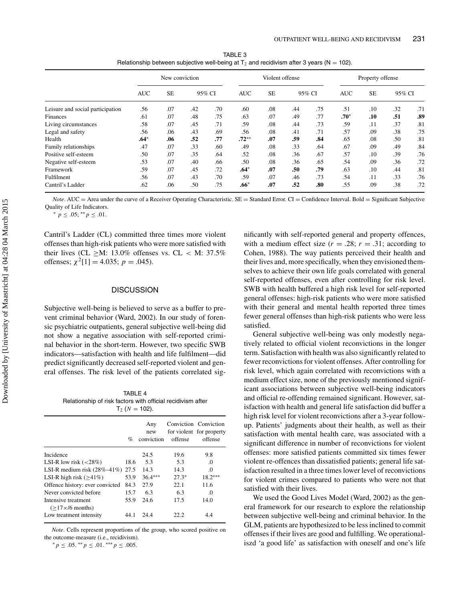| TABLE 3                                                                                     |
|---------------------------------------------------------------------------------------------|
| Relationship between subjective well-being at $T_2$ and recidivism after 3 years (N = 102). |

|                                  | New conviction |           |     |        | Violent offense |           |        |     | Property offense |           |        |     |
|----------------------------------|----------------|-----------|-----|--------|-----------------|-----------|--------|-----|------------------|-----------|--------|-----|
|                                  | <b>AUC</b>     | <b>SE</b> |     | 95% CI | <b>AUC</b>      | <b>SE</b> | 95% CI |     | <b>AUC</b>       | <b>SE</b> | 95% CI |     |
| Leisure and social participation | .56            | .07       | .42 | .70    | .60             | .08       | .44    | .75 | .51              | .10       | .32    | .71 |
| Finances                         | .61            | .07       | .48 | .75    | .63             | .07       | .49    | .77 | $.70*$           | .10       | .51    | .89 |
| Living circumstances             | .58            | .07       | .45 | .71    | .59             | .08       | .44    | .73 | .59              | .11       | .37    | .81 |
| Legal and safety                 | .56            | .06       | .43 | .69    | .56             | .08       | .41    | .71 | .57              | .09       | .38    | .75 |
| Health                           | $.64*$         | .06       | .52 | .77    | $.72***$        | .07       | .59    | .84 | .65              | .08       | .50    | .81 |
| Family relationships             | .47            | .07       | .33 | .60    | .49             | .08       | .33    | .64 | .67              | .09       | .49    | .84 |
| Positive self-esteem             | .50            | .07       | .35 | .64    | .52             | .08       | .36    | .67 | .57              | .10       | .39    | .76 |
| Negative self-esteem             | .53            | .07       | .40 | .66    | .50             | .08       | .36    | .65 | .54              | .09       | .36    | .72 |
| Framework                        | .59            | .07       | .45 | .72    | $.64*$          | .07       | .50    | .79 | .63              | .10       | .44    | .81 |
| <b>Fulfilment</b>                | .56            | .07       | .43 | .70    | .59             | .07       | .46    | .73 | .54              | .11       | .33    | .76 |
| Cantril's Ladder                 | .62            | .06       | .50 | .75    | $.66*$          | .07       | .52    | .80 | .55              | .09       | .38    | .72 |

*Note*. AUC = Area under the curve of a Receiver Operating Characteristic. SE = Standard Error. CI = Confidence Interval. Bold = Significant Subjective Quality of Life Indicators.

<sup>∗</sup> *p* ≤ *.*05; ∗∗*p* ≤ *.*01.

Cantril's Ladder (CL) committed three times more violent offenses than high-risk patients who were more satisfied with their lives (CL  $\geq$ M: 13.0% offenses vs. CL < M: 37.5% offenses;  $\chi^2[1] = 4.035$ ;  $p = .045$ ).

#### **DISCUSSION**

Subjective well-being is believed to serve as a buffer to prevent criminal behavior (Ward, 2002). In our study of forensic psychiatric outpatients, general subjective well-being did not show a negative association with self-reported criminal behavior in the short-term. However, two specific SWB indicators—satisfaction with health and life fulfilment—did predict significantly decreased self-reported violent and general offenses. The risk level of the patients correlated sig-

TABLE 4 Relationship of risk factors with official recidivism after  $T_2$  ( $N = 102$ ).

|                                               | %    | Any<br>new<br>conviction | offense | Conviction Conviction<br>for violent for property<br>offense |
|-----------------------------------------------|------|--------------------------|---------|--------------------------------------------------------------|
| Incidence                                     |      | 24.5                     | 19.6    | 9.8                                                          |
| LSI-R low risk $(<28\%)$                      | 18.6 | 5.3                      | 5.3     | $\Omega$                                                     |
| LSI-R medium risk (28%–41%) 27.5              |      | 14.3                     | 14.3    | $\Omega$                                                     |
| LSI-R high risk $(>41\%)$                     | 53.9 | $36.4***$                | $27.3*$ | $18.2***$                                                    |
| Offence history: ever convicted               | 84.3 | 27.9                     | 22.1    | 11.6                                                         |
| Never convicted before                        | 15.7 | 6.3                      | 6.3     | .0                                                           |
| Intensive treatment<br>$(>17\times/6$ months) | 55.9 | 24.6                     | 17.5    | 14.0                                                         |
| Low treatment intensity                       | 44.1 | 24.4                     | 22.2    | 4.4                                                          |

*Note*. Cells represent proportions of the group, who scored positive on the outcome-measure (i.e., recidivism).

<sup>∗</sup>*p* ≤ *.*05. ∗∗*p* ≤ *.*01. ∗∗∗*p* ≤ *.*005.

nificantly with self-reported general and property offences, with a medium effect size  $(r = .28; r = .31;$  according to Cohen, 1988). The way patients perceived their health and their lives and, more specifically, when they envisioned themselves to achieve their own life goals correlated with general self-reported offenses, even after controlling for risk level. SWB with health buffered a high risk level for self-reported general offenses: high-risk patients who were more satisfied with their general and mental health reported three times fewer general offenses than high-risk patients who were less satisfied.

General subjective well-being was only modestly negatively related to official violent reconvictions in the longer term. Satisfaction with health was also significantly related to fewer reconvictions for violent offenses. After controlling for risk level, which again correlated with reconvictions with a medium effect size, none of the previously mentioned significant associations between subjective well-being indicators and official re-offending remained significant. However, satisfaction with health and general life satisfaction did buffer a high risk level for violent reconvictions after a 3-year followup. Patients' judgments about their health, as well as their satisfaction with mental health care, was associated with a significant difference in number of reconvictions for violent offenses: more satisfied patients committed six times fewer violent re-offences than dissatisfied patients; general life satisfaction resulted in a three times lower level of reconvictions for violent crimes compared to patients who were not that satisfied with their lives.

We used the Good Lives Model (Ward, 2002) as the general framework for our research to explore the relationship between subjective well-being and criminal behavior. In the GLM, patients are hypothesized to be less inclined to commit offenses if their lives are good and fulfilling. We operationaliszd 'a good life' as satisfaction with oneself and one's life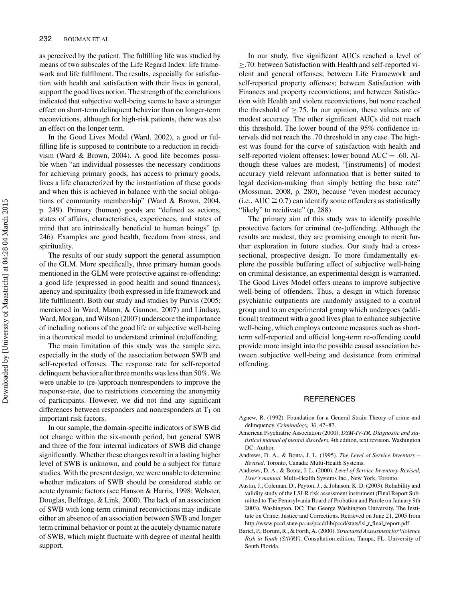as perceived by the patient. The fulfilling life was studied by means of two subscales of the Life Regard Index: life framework and life fulfilment. The results, especially for satisfaction with health and satisfaction with their lives in general, support the good lives notion. The strength of the correlations indicated that subjective well-being seems to have a stronger effect on short-term delinquent behavior than on longer-term reconvictions, although for high-risk patients, there was also an effect on the longer term.

In the Good Lives Model (Ward, 2002), a good or fulfilling life is supposed to contribute to a reduction in recidivism (Ward & Brown, 2004). A good life becomes possible when "an individual possesses the necessary conditions for achieving primary goods, has access to primary goods, lives a life characterized by the instantiation of these goods and when this is achieved in balance with the social obligations of community membership" (Ward & Brown, 2004, p. 249). Primary (human) goods are "defined as actions, states of affairs, characteristics, experiences, and states of mind that are intrinsically beneficial to human beings" (p. 246). Examples are good health, freedom from stress, and spirituality.

The results of our study support the general assumption of the GLM. More specifically, three primary human goods mentioned in the GLM were protective against re-offending: a good life (expressed in good health and sound finances), agency and spirituality (both expressed in life framework and life fulfilment). Both our study and studies by Purvis (2005; mentioned in Ward, Mann, & Gannon, 2007) and Lindsay, Ward, Morgan, and Wilson (2007) underscore the importance of including notions of the good life or subjective well-being in a theoretical model to understand criminal (re)offending.

The main limitation of this study was the sample size, especially in the study of the association between SWB and self-reported offenses. The response rate for self-reported delinquent behavior after three months was less than 50%. We were unable to (re-)approach nonresponders to improve the response-rate, due to restrictions concerning the anonymity of participants. However, we did not find any significant differences between responders and nonresponders at  $T_1$  on important risk factors.

In our sample, the domain-specific indicators of SWB did not change within the six-month period, but general SWB and three of the four internal indicators of SWB did change significantly. Whether these changes result in a lasting higher level of SWB is unknown, and could be a subject for future studies. With the present design, we were unable to determine whether indicators of SWB should be considered stable or acute dynamic factors (see Hanson & Harris, 1998; Webster, Douglas, Belfrage, & Link, 2000). The lack of an association of SWB with long-term criminal reconvictions may indicate either an absence of an association between SWB and longer term criminal behavior or point at the acutely dynamic nature of SWB, which might fluctuate with degree of mental health support.

In our study, five significant AUCs reached a level of ≥.70: between Satisfaction with Health and self-reported violent and general offenses; between Life Framework and self-reported property offenses; between Satisfaction with Finances and property reconvictions; and between Satisfaction with Health and violent reconvictions, but none reached the threshold of  $> 0.75$ . In our opinion, these values are of modest accuracy. The other significant AUCs did not reach this threshold. The lower bound of the 95% confidence intervals did not reach the .70 threshold in any case. The highest was found for the curve of satisfaction with health and self-reported violent offenses: lower bound AUC = .60. Although these values are modest, "[instruments] of modest accuracy yield relevant information that is better suited to legal decision-making than simply betting the base rate" (Mossman, 2008, p. 280), because "even modest accuracy (i.e., AUC  $\cong$  0.7) can identify some offenders as statistically "likely" to recidivate" (p. 288).

The primary aim of this study was to identify possible protective factors for criminal (re-)offending. Although the results are modest, they are promising enough to merit further exploration in future studies. Our study had a crosssectional, prospective design. To more fundamentally explore the possible buffering effect of subjective well-being on criminal desistance, an experimental design is warranted. The Good Lives Model offers means to improve subjective well-being of offenders. Thus, a design in which forensic psychiatric outpatients are randomly assigned to a control group and to an experimental group which undergoes (additional) treatment with a good lives plan to enhance subjective well-being, which employs outcome measures such as shortterm self-reported and official long-term re-offending could provide more insight into the possible causal association between subjective well-being and desistance from criminal offending.

#### **REFERENCES**

- Agnew, R. (1992). Foundation for a General Strain Theory of crime and delinquency. *Criminology, 30*, 47–87.
- American Psychiatric Association (2000). *DSM-IV-TR, Diagnostic and statistical manual of mental disorders*, 4th edition, text revision. Washington  $DC:$  Author.
- Andrews, D. A., & Bonta, J. L. (1995). *The Level of Service Inventory – Revised*. Toronto, Canada: Multi-Health Systems.
- Andrews, D. A., & Bonta, J. L. (2000). *Level of Service Inventory-Revised, User's manual.* Multi-Health Systems Inc., New York, Toronto.
- Austin, J., Coleman, D., Peyton, J., & Johnson, K. D. (2003). Reliability and validity study of the LSI-R risk assessment instrument (Final Report Submitted to The Pennsylvania Board of Probation and Parole on January 9th 2003). Washington, DC: The George Washington University, The Institute on Crime, Justice and Corrections. Retrieved on June 21, 2005 from http://www.pccd.state.pa.us/pccd/lib/pccd/stats/lsi\_r\_final\_report.pdf.
- Bartel, P., Borum, R., & Forth, A. (2000). *Structured Assessment for Violence Risk in Youth (SAVRY)*. Consultation edition. Tampa, FL: University of South Florida.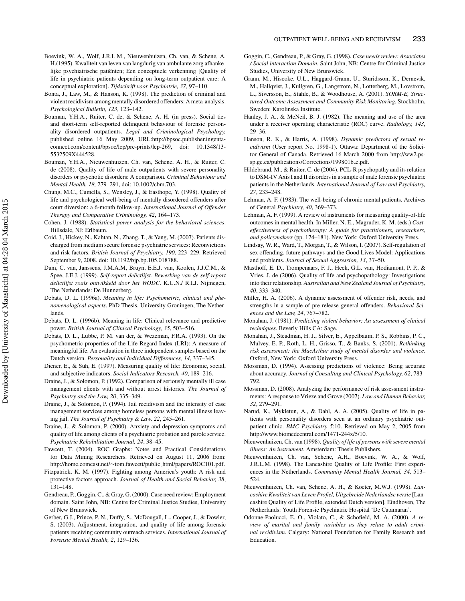- Boevink, W. A., Wolf, J.R.L.M., Nieuwenhuizen, Ch. van, & Schene, A. H.(1995). Kwaliteit van leven van langdurig van ambulante zorg afhankelijke psychiatrische patiënten; Een conceptuele verkenning [Quality of life in psychiatric patients depending on long-term outpatient care: A conceptual exploration]. *Tijdschrift voor Psychiatrie, 37,* 97–110.
- Bonta, J., Law, M., & Hanson, K. (1998). The prediction of criminal and violent recidivism among mentally disordered offenders: A meta-analysis. *Psychological Bulletin, 123*, 123–142.
- Bouman, Y.H.A., Ruiter, C. de, & Schene, A. H. (in press). Social ties and short-term self-reported delinquent behaviour of forensic personality disordered outpatients. *Legal and Criminological Psychology,* published online 16 May 2009, URL:http://bpsoc.publisher.ingentaconnect.com/content/bpsoc/lcp/pre-prints/lcp-269, doi: 10.1348/13- 5532509X444528.
- Bouman, Y.H.A., Nieuwenhuizen, Ch. van, Schene, A. H., & Ruiter, C. de (2008). Quality of life of male outpatients with severe personality disorders or psychotic disorders: A comparison. *Criminal Behaviour and Mental Health, 18,* 279–291, doi: 10.1002/cbm.703.
- Chung, M.C., Cumella, S., Wensley, J., & Easthope, Y. (1998). Quality of life and psychological well-being of mentally disordered offenders after court diversion: a 6-month follow-up. *International Journal of Offender Therapy and Comparative Criminology, 42*, 164–173.
- Cohen, J. (1988). *Statistical power analysis for the behavioral sciences*. Hillsdale, NJ: Erlbaum.
- Coid, J., Hickey, N., Kahtan, N., Zhang, T., & Yang, M. (2007). Patients discharged from medium secure forensic psychiatric services: Reconvictions and risk factors. *British Journal of Psychiatry, 190*, 223–229. Retrieved September 9, 2008. doi: 10.1192/bjp.bp.105.018788.
- Dam, C. van, Janssens, J.M.A.M, Bruyn, E.E.J. van, Koolen, J.J.C.M., & Spee, J.E.J. (1999). *Self-report delictlijst. Bewerking van de self-report delictlijst zoals ontwikkeld door het WODC*. K.U.N./ R.I.J. Nijmegen, The Netherlands: De Hunnerberg.
- Debats, D. L. (1996a). *Meaning in life: Psychometric, clinical and phenomenological aspects*. PhD Thesis. University Groningen, The Netherlands.
- Debats, D. L. (1996b). Meaning in life: Clinical relevance and predictive power. *British Journal of Clinical Psychology, 35*, 503–516.
- Debats, D. L., Lubbe, P. M. van der, & Wezeman, F.R.A. (1993). On the psychometric properties of the Life Regard Index (LRI): A measure of meaningful life. An evaluation in three independent samples based on the Dutch version. *Personality and Individual Differences, 14*, 337–345.
- Diener, E., & Suh, E. (1997). Measuring quality of life: Economic, social, and subjective indicators. *Social Indicators Research, 40*, 189–216.
- Draine, J., & Solomon, P. (1992). Comparison of seriously mentally ill case management clients with and without arrest histories. *The Journal of Psychiatry and the Law, 20*, 335–349.
- Draine, J., & Solomon, P. (1994). Jail recidivism and the intensity of case management services among homeless persons with mental illness leaving jail. *The Journal of Psychiatry & Law, 22*, 245–261.
- Draine, J., & Solomon, P. (2000). Anxiety and depression symptoms and quality of life among clients of a psychiatric probation and parole service. *Psychiatric Rehabilitation Journal, 24*, 38–45.
- Fawcett, T. (2004). ROC Graphs: Notes and Practical Considerations for Data Mining Researchers. Retrieved on August 11, 2006 from: http://home.comcast.net/∼tom.fawcett/public html/papers/ROC101.pdf.
- Fitzpatrick, K. M. (1997). Fighting among America's youth: A risk and protective factors approach. *Journal of Health and Social Behavior, 38*, 131–148.
- Gendreau, P., Goggin, C., & Gray, G. (2000). Case need review: Employment domain. Saint John, NB: Centre for Criminal Justice Studies, University of New Brunswick.
- Gerber, G.J., Prince, P. N., Duffy, S., McDougall, L., Cooper, J., & Dowler, S. (2003). Adjustment, integration, and quality of life among forensic patients receiving community outreach services. *International Journal of Forensic Mental Health, 2*, 129–136.
- Goggin, C., Gendreau, P., & Gray, G. (1998). *Case needs review: Associates / Social interaction Domain*. Saint John, NB: Centre for Criminal Justice Studies, University of New Brunswick.
- Grann, M., Hiscoke, U.L., Haggard-Grann, U., Sturidsson, K., Dernevik, M., Hallqvist, J., Kullgren, G., Langstrom, N., Lotterberg, M., Lovstrom, L., Siversson, E., Stahle, B., & Woodhouse, A. (2001). *SORM-E, Structured Outcome Assessment and Community Risk Monitoring.* Stockholm, Sweden: Karolinska Institute.
- Hanley, J. A., & McNeil, B. J. (1982). The meaning and use of the area under a receiver operating characteristic (ROC) curve. *Radiology, 143*, 29–36.
- Hanson, R. K., & Harris, A. (1998). *Dynamic predictors of sexual recidivism* (User report No. 1998-1). Ottawa: Department of the Solicitor General of Canada. Retrieved 16 March 2000 from http://ww2.pssp.gc.ca/publications/Corrections/199801b\_e.pdf.
- Hildebrand, M., & Ruiter, C. de (2004). PCL-R psychopathy and its relation to DSM-IV Axis I and II disorders in a sample of male forensic psychiatric patients in the Netherlands. *International Journal of Law and Psychiatry, 27*, 233–248.
- Lehman, A. F. (1983). The well-being of chronic mental patients. Archives of General *Psychiatry, 40*, 369–373.
- Lehman, A. F. (1999). A review of instruments for measuring quality-of-life outcomes in mental health. In Miller, N. E., Magruder, K. M. (eds.) *Costeffectiveness of psychotherapy: A guide for practitioners, researchers, and policymakers* (pp. 174–181). New York: Oxford University Press.
- Lindsay, W. R., Ward, T., Morgan, T., & Wilson, I. (2007). Self-regulation of sex offending, future pathways and the Good Lives Model: Applications and problems. *Journal of Sexual Aggression, 13*, 37–50.
- Masthoff, E. D., Trompenaars, F. J., Heck, G.L. van, Hodiamont, P. P., & Vries, J. de (2006). Quality of life and psychopathology: Investigations into their relationship. *Australian and New Zealand Journal of Psychiatry, 40*, 333–340.
- Miller, H. A. (2006). A dynamic assessment of offender risk, needs, and strengths in a sample of pre-release general offenders. *Behavioral Sciences and the Law, 24*, 767–782.
- Monahan, J. (1981). *Predicting violent behavior: An assessment of clinical techniques*. Beverly Hills CA: Sage.
- Monahan, J., Steadman, H. J., Silver, E., Appelbaum, P. S., Robbins, P. C., Mulvey, E. P., Roth, L. H., Grisso, T., & Banks, S. (2001). *Rethinking risk assessment: the MacArthur study of mental disorder and violence*. Oxford, New York: Oxford University Press.
- Mossman, D. (1994). Assessing predictions of violence: Being accurate about accuracy. *Journal of Consulting and Clinical Psychology, 62*, 783– 792.
- Mossman, D. (2008). Analyzing the performance of risk assessment instruments: A response to Vrieze and Grove (2007). *Law and Human Behavior, 32*, 279–291.
- Narud, K., Mykletun, A., & Dahl, A. A. (2005). Quality of life in patients with personality disorders seen at an ordinary psychiatric outpatient clinic. *BMC Psychiatry 5*:10. Retrieved on May 2, 2005 from http://www.biomedcentral.com/1471-244x/5/10.
- Nieuwenhuizen, Ch. van (1998). *Quality of life of persons with severe mental illness: An instrument*. Amsterdam: Thesis Publishers.
- Nieuwenhuizen, Ch. van, Schene, A.H., Boevink, W. A., & Wolf, J.R.L.M. (1998). The Lancashire Quality of Life Profile: First experiences in the Netherlands. *Community Mental Health Journal, 34,* 513– 524.
- Nieuwenhuizen, Ch. van, Schene, A. H., & Koeter, M.W.J. (1998). *Lancashire Kwaliteit van Leven Profiel, Uitgebreide Nederlandse versie* [Lancashire Quality of Life Profile, extended Dutch version]. Eindhoven, The Netherlands: Youth Forensic Psychiatric Hospital 'De Catamaran'.
- Odonne-Paolucci, E. O., Violato, C., & Schofield, M. A. (2000). *A review of marital and family variables as they relate to adult criminal recidivism*. Calgary: National Foundation for Family Research and Education.